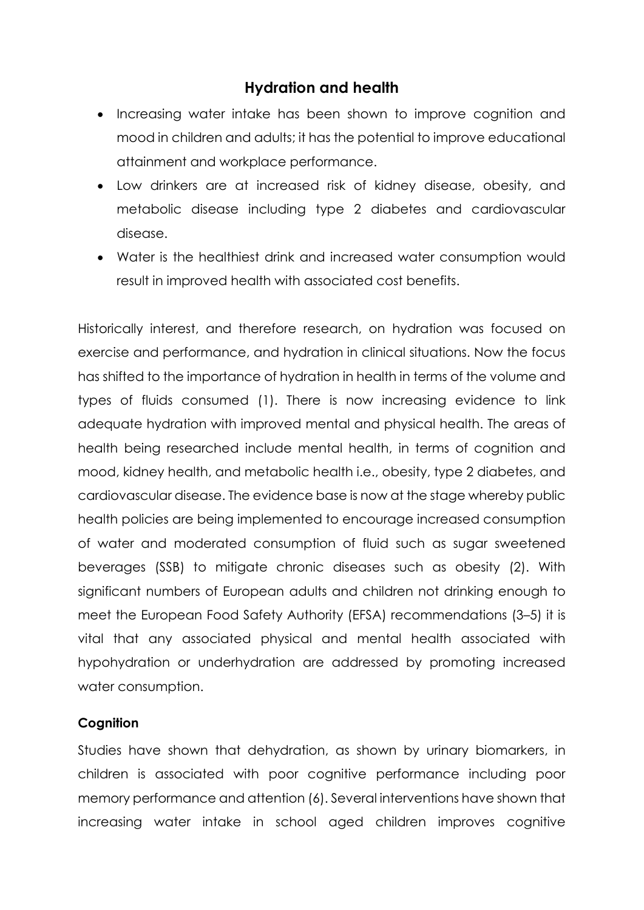# **Hydration and health**

- Increasing water intake has been shown to improve cognition and mood in children and adults; it has the potential to improve educational attainment and workplace performance.
- Low drinkers are at increased risk of kidney disease, obesity, and metabolic disease including type 2 diabetes and cardiovascular disease.
- Water is the healthiest drink and increased water consumption would result in improved health with associated cost benefits.

Historically interest, and therefore research, on hydration was focused on exercise and performance, and hydration in clinical situations. Now the focus has shifted to the importance of hydration in health in terms of the volume and types of fluids consumed (1). There is now increasing evidence to link adequate hydration with improved mental and physical health. The areas of health being researched include mental health, in terms of cognition and mood, kidney health, and metabolic health i.e., obesity, type 2 diabetes, and cardiovascular disease. The evidence base is now at the stage whereby public health policies are being implemented to encourage increased consumption of water and moderated consumption of fluid such as sugar sweetened beverages (SSB) to mitigate chronic diseases such as obesity (2). With significant numbers of European adults and children not drinking enough to meet the European Food Safety Authority (EFSA) recommendations (3–5) it is vital that any associated physical and mental health associated with hypohydration or underhydration are addressed by promoting increased water consumption.

## **Cognition**

Studies have shown that dehydration, as shown by urinary biomarkers, in children is associated with poor cognitive performance including poor memory performance and attention (6). Several interventions have shown that increasing water intake in school aged children improves cognitive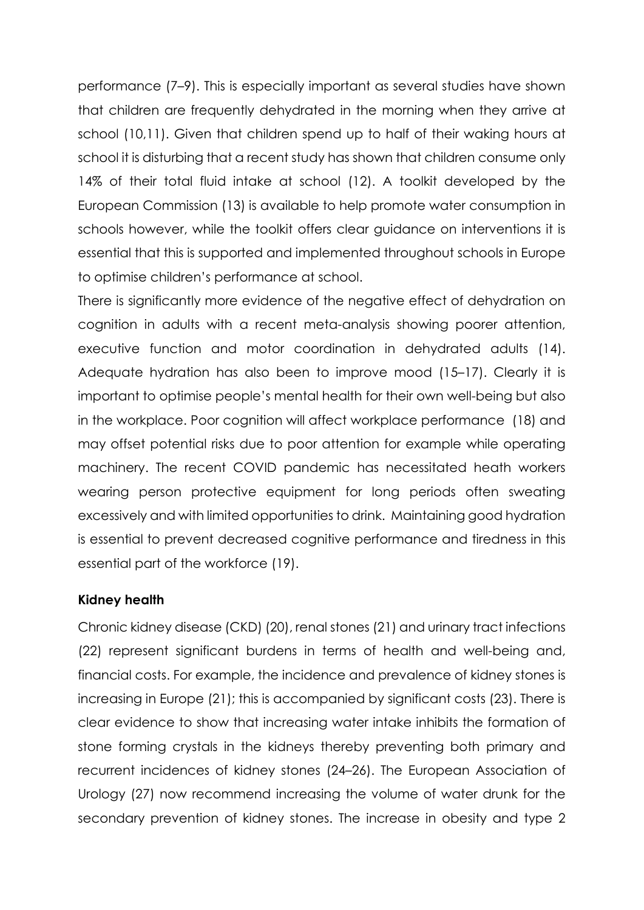performance (7–9). This is especially important as several studies have shown that children are frequently dehydrated in the morning when they arrive at school (10,11). Given that children spend up to half of their waking hours at school it is disturbing that a recent study has shown that children consume only 14% of their total fluid intake at school (12). A toolkit developed by the European Commission (13) is available to help promote water consumption in schools however, while the toolkit offers clear guidance on interventions it is essential that this is supported and implemented throughout schools in Europe to optimise children's performance at school.

There is significantly more evidence of the negative effect of dehydration on cognition in adults with a recent meta-analysis showing poorer attention, executive function and motor coordination in dehydrated adults (14). Adequate hydration has also been to improve mood (15–17). Clearly it is important to optimise people's mental health for their own well-being but also in the workplace. Poor cognition will affect workplace performance (18) and may offset potential risks due to poor attention for example while operating machinery. The recent COVID pandemic has necessitated heath workers wearing person protective equipment for long periods often sweating excessively and with limited opportunities to drink. Maintaining good hydration is essential to prevent decreased cognitive performance and tiredness in this essential part of the workforce (19).

## **Kidney health**

Chronic kidney disease (CKD) (20), renal stones (21) and urinary tract infections (22) represent significant burdens in terms of health and well-being and, financial costs. For example, the incidence and prevalence of kidney stones is increasing in Europe (21); this is accompanied by significant costs (23). There is clear evidence to show that increasing water intake inhibits the formation of stone forming crystals in the kidneys thereby preventing both primary and recurrent incidences of kidney stones (24–26). The European Association of Urology (27) now recommend increasing the volume of water drunk for the secondary prevention of kidney stones. The increase in obesity and type 2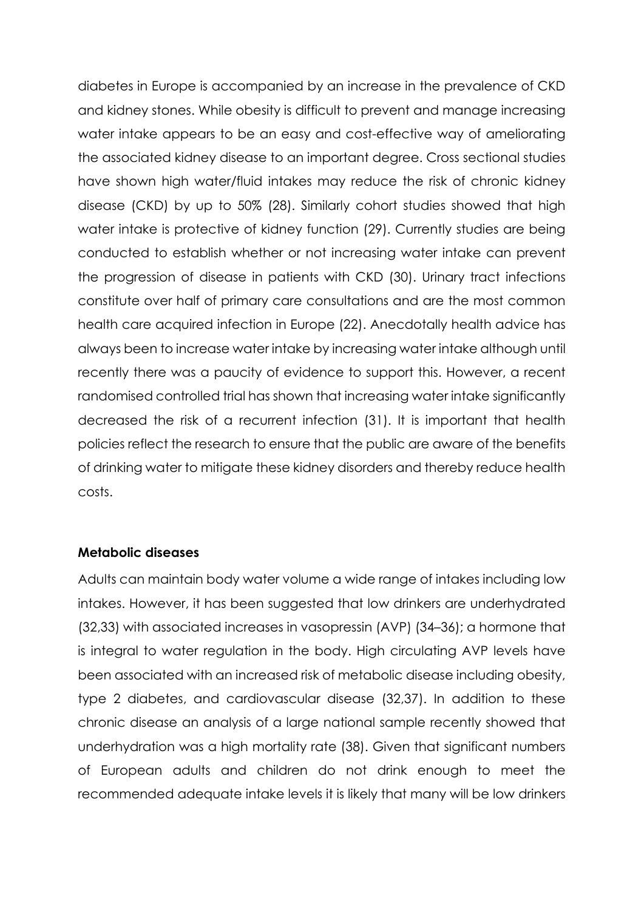diabetes in Europe is accompanied by an increase in the prevalence of CKD and kidney stones. While obesity is difficult to prevent and manage increasing water intake appears to be an easy and cost-effective way of ameliorating the associated kidney disease to an important degree. Cross sectional studies have shown high water/fluid intakes may reduce the risk of chronic kidney disease (CKD) by up to 50% (28). Similarly cohort studies showed that high water intake is protective of kidney function (29). Currently studies are being conducted to establish whether or not increasing water intake can prevent the progression of disease in patients with CKD (30). Urinary tract infections constitute over half of primary care consultations and are the most common health care acquired infection in Europe (22). Anecdotally health advice has always been to increase water intake by increasing water intake although until recently there was a paucity of evidence to support this. However, a recent randomised controlled trial has shown that increasing water intake significantly decreased the risk of a recurrent infection (31). It is important that health policies reflect the research to ensure that the public are aware of the benefits of drinking water to mitigate these kidney disorders and thereby reduce health costs.

### **Metabolic diseases**

Adults can maintain body water volume a wide range of intakes including low intakes. However, it has been suggested that low drinkers are underhydrated (32,33) with associated increases in vasopressin (AVP) (34–36); a hormone that is integral to water regulation in the body. High circulating AVP levels have been associated with an increased risk of metabolic disease including obesity, type 2 diabetes, and cardiovascular disease (32,37). In addition to these chronic disease an analysis of a large national sample recently showed that underhydration was a high mortality rate (38). Given that significant numbers of European adults and children do not drink enough to meet the recommended adequate intake levels it is likely that many will be low drinkers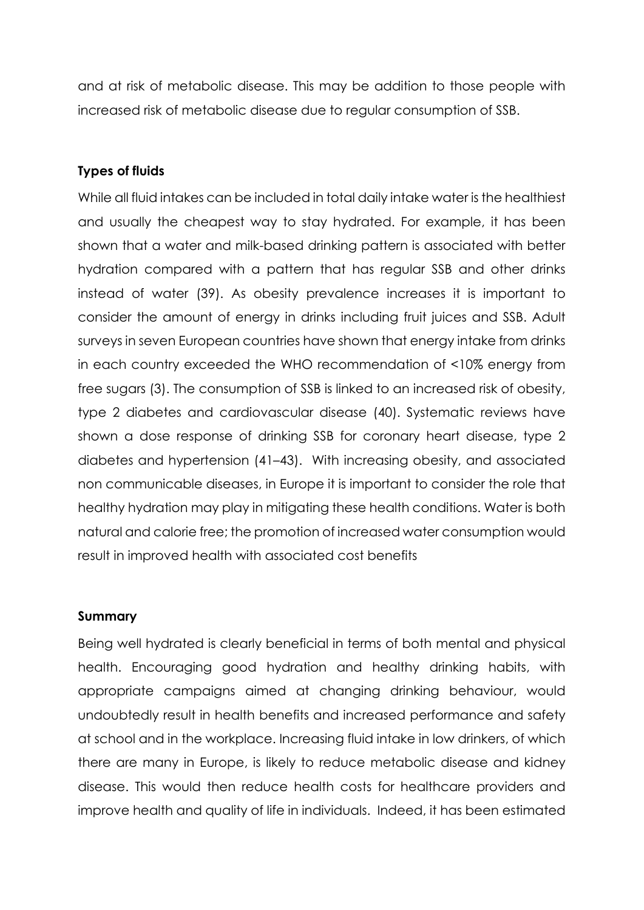and at risk of metabolic disease. This may be addition to those people with increased risk of metabolic disease due to regular consumption of SSB.

## **Types of fluids**

While all fluid intakes can be included in total daily intake water is the healthiest and usually the cheapest way to stay hydrated. For example, it has been shown that a water and milk-based drinking pattern is associated with better hydration compared with a pattern that has regular SSB and other drinks instead of water (39). As obesity prevalence increases it is important to consider the amount of energy in drinks including fruit juices and SSB. Adult surveys in seven European countries have shown that energy intake from drinks in each country exceeded the WHO recommendation of <10% energy from free sugars (3). The consumption of SSB is linked to an increased risk of obesity, type 2 diabetes and cardiovascular disease (40). Systematic reviews have shown a dose response of drinking SSB for coronary heart disease, type 2 diabetes and hypertension (41–43). With increasing obesity, and associated non communicable diseases, in Europe it is important to consider the role that healthy hydration may play in mitigating these health conditions. Water is both natural and calorie free; the promotion of increased water consumption would result in improved health with associated cost benefits

## **Summary**

Being well hydrated is clearly beneficial in terms of both mental and physical health. Encouraging good hydration and healthy drinking habits, with appropriate campaigns aimed at changing drinking behaviour, would undoubtedly result in health benefits and increased performance and safety at school and in the workplace. Increasing fluid intake in low drinkers, of which there are many in Europe, is likely to reduce metabolic disease and kidney disease. This would then reduce health costs for healthcare providers and improve health and quality of life in individuals. Indeed, it has been estimated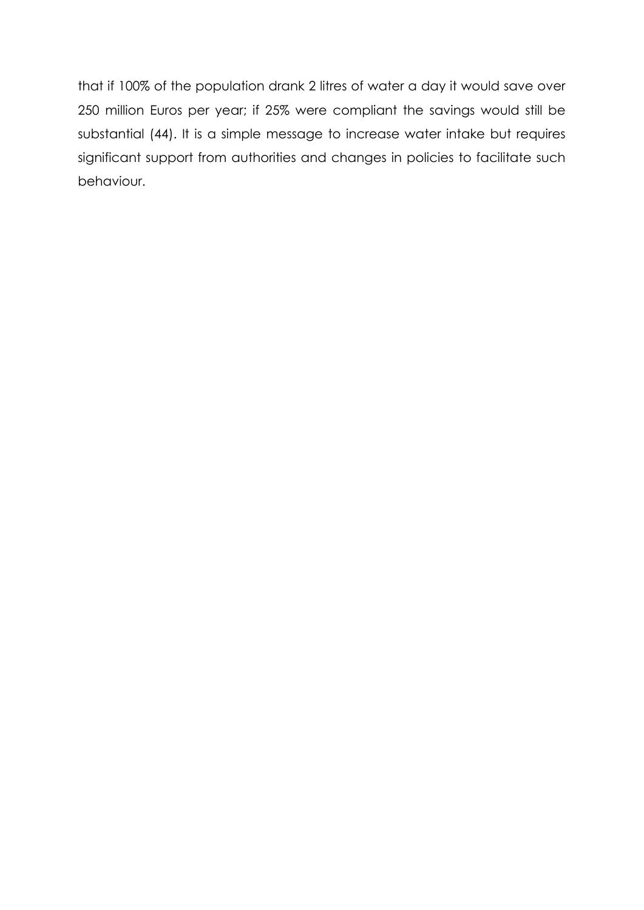that if 100% of the population drank 2 litres of water a day it would save over 250 million Euros per year; if 25% were compliant the savings would still be substantial (44). It is a simple message to increase water intake but requires significant support from authorities and changes in policies to facilitate such behaviour.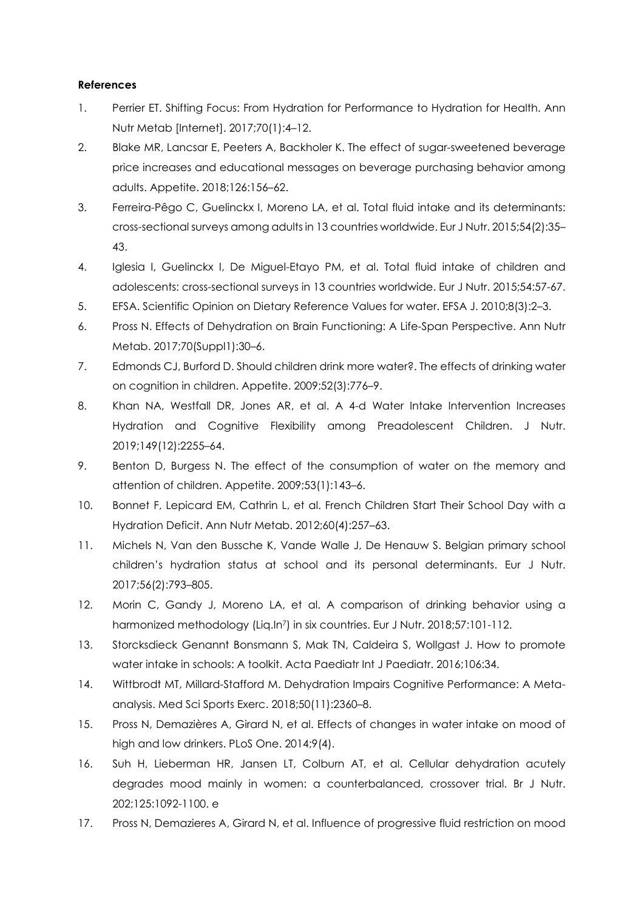#### **References**

- 1. Perrier ET. Shifting Focus: From Hydration for Performance to Hydration for Health. Ann Nutr Metab [Internet]. 2017;70(1):4–12.
- 2. Blake MR, Lancsar E, Peeters A, Backholer K. The effect of sugar-sweetened beverage price increases and educational messages on beverage purchasing behavior among adults. Appetite. 2018;126:156–62.
- 3. Ferreira-Pêgo C, Guelinckx I, Moreno LA, et al. Total fluid intake and its determinants: cross-sectional surveys among adults in 13 countries worldwide. Eur J Nutr. 2015;54(2):35– 43.
- 4. Iglesia I, Guelinckx I, De Miguel-Etayo PM, et al. Total fluid intake of children and adolescents: cross-sectional surveys in 13 countries worldwide. Eur J Nutr. 2015;54:57-67.
- 5. EFSA. Scientific Opinion on Dietary Reference Values for water. EFSA J. 2010;8(3):2–3.
- 6. Pross N. Effects of Dehydration on Brain Functioning: A Life-Span Perspective. Ann Nutr Metab. 2017;70(Suppl1):30–6.
- 7. Edmonds CJ, Burford D. Should children drink more water?. The effects of drinking water on cognition in children. Appetite. 2009;52(3):776–9.
- 8. Khan NA, Westfall DR, Jones AR, et al. A 4-d Water Intake Intervention Increases Hydration and Cognitive Flexibility among Preadolescent Children. J Nutr. 2019;149(12):2255–64.
- 9. Benton D, Burgess N. The effect of the consumption of water on the memory and attention of children. Appetite. 2009;53(1):143–6.
- 10. Bonnet F, Lepicard EM, Cathrin L, et al. French Children Start Their School Day with a Hydration Deficit. Ann Nutr Metab. 2012;60(4):257–63.
- 11. Michels N, Van den Bussche K, Vande Walle J, De Henauw S. Belgian primary school children's hydration status at school and its personal determinants. Eur J Nutr. 2017;56(2):793–805.
- 12. Morin C, Gandy J, Moreno LA, et al. A comparison of drinking behavior using a harmonized methodology (Liq.In<sup>7</sup>) in six countries. Eur J Nutr. 2018;57:101-112.
- 13. Storcksdieck Genannt Bonsmann S, Mak TN, Caldeira S, Wollgast J. How to promote water intake in schools: A toolkit. Acta Paediatr Int J Paediatr. 2016;106:34.
- 14. Wittbrodt MT, Millard-Stafford M. Dehydration Impairs Cognitive Performance: A Metaanalysis. Med Sci Sports Exerc. 2018;50(11):2360–8.
- 15. Pross N, Demazières A, Girard N, et al. Effects of changes in water intake on mood of high and low drinkers. PLoS One. 2014;9(4).
- 16. Suh H, Lieberman HR, Jansen LT, Colburn AT, et al. Cellular dehydration acutely degrades mood mainly in women: a counterbalanced, crossover trial. Br J Nutr. 202;125:1092-1100. e
- 17. Pross N, Demazieres A, Girard N, et al. Influence of progressive fluid restriction on mood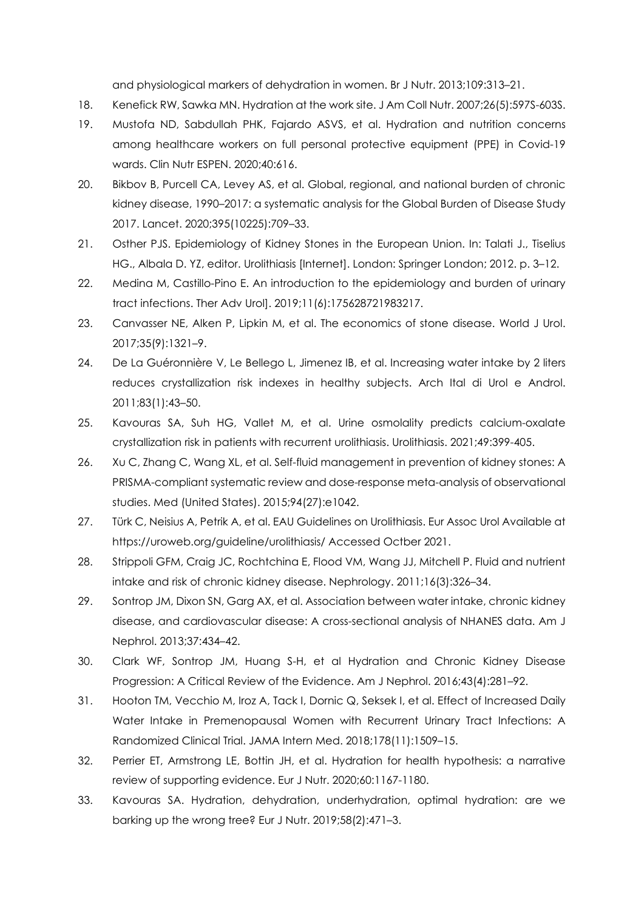and physiological markers of dehydration in women. Br J Nutr. 2013;109:313–21.

- 18. Kenefick RW, Sawka MN. Hydration at the work site. J Am Coll Nutr. 2007;26(5):597S-603S.
- 19. Mustofa ND, Sabdullah PHK, Fajardo ASVS, et al. Hydration and nutrition concerns among healthcare workers on full personal protective equipment (PPE) in Covid-19 wards. Clin Nutr ESPEN. 2020;40:616.
- 20. Bikbov B, Purcell CA, Levey AS, et al. Global, regional, and national burden of chronic kidney disease, 1990–2017: a systematic analysis for the Global Burden of Disease Study 2017. Lancet. 2020;395(10225):709–33.
- 21. Osther PJS. Epidemiology of Kidney Stones in the European Union. In: Talati J., Tiselius HG., Albala D. YZ, editor. Urolithiasis [Internet]. London: Springer London; 2012. p. 3–12.
- 22. Medina M, Castillo-Pino E. An introduction to the epidemiology and burden of urinary tract infections. Ther Adv Urol]. 2019;11(6):175628721983217.
- 23. Canvasser NE, Alken P, Lipkin M, et al. The economics of stone disease. World J Urol. 2017;35(9):1321–9.
- 24. De La Guéronnière V, Le Bellego L, Jimenez IB, et al. Increasing water intake by 2 liters reduces crystallization risk indexes in healthy subjects. Arch Ital di Urol e Androl. 2011;83(1):43–50.
- 25. Kavouras SA, Suh HG, Vallet M, et al. Urine osmolality predicts calcium-oxalate crystallization risk in patients with recurrent urolithiasis. Urolithiasis. 2021;49:399-405.
- 26. Xu C, Zhang C, Wang XL, et al. Self-fluid management in prevention of kidney stones: A PRISMA-compliant systematic review and dose-response meta-analysis of observational studies. Med (United States). 2015;94(27):e1042.
- 27. Türk C, Neisius A, Petrik A, et al. EAU Guidelines on Urolithiasis. Eur Assoc Urol Available at https://uroweb.org/guideline/urolithiasis/ Accessed Octber 2021.
- 28. Strippoli GFM, Craig JC, Rochtchina E, Flood VM, Wang JJ, Mitchell P. Fluid and nutrient intake and risk of chronic kidney disease. Nephrology. 2011;16(3):326–34.
- 29. Sontrop JM, Dixon SN, Garg AX, et al. Association between water intake, chronic kidney disease, and cardiovascular disease: A cross-sectional analysis of NHANES data. Am J Nephrol. 2013;37:434–42.
- 30. Clark WF, Sontrop JM, Huang S-H, et al Hydration and Chronic Kidney Disease Progression: A Critical Review of the Evidence. Am J Nephrol. 2016;43(4):281–92.
- 31. Hooton TM, Vecchio M, Iroz A, Tack I, Dornic Q, Seksek I, et al. Effect of Increased Daily Water Intake in Premenopausal Women with Recurrent Urinary Tract Infections: A Randomized Clinical Trial. JAMA Intern Med. 2018;178(11):1509–15.
- 32. Perrier ET, Armstrong LE, Bottin JH, et al. Hydration for health hypothesis: a narrative review of supporting evidence. Eur J Nutr. 2020;60:1167-1180.
- 33. Kavouras SA. Hydration, dehydration, underhydration, optimal hydration: are we barking up the wrong tree? Eur J Nutr. 2019;58(2):471–3.